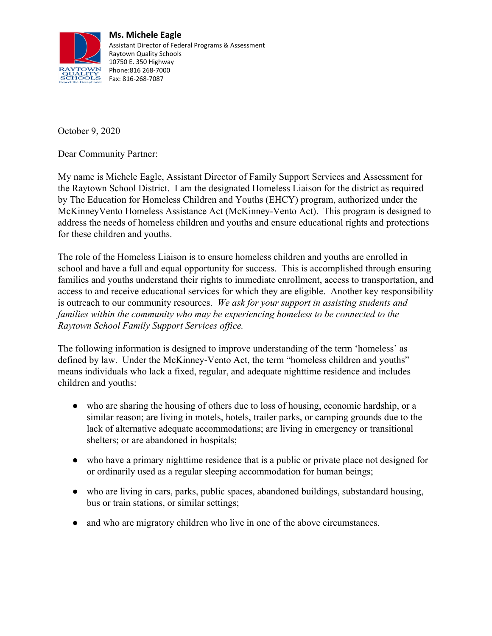

**Ms. Michele Eagle** Assistant Director of Federal Programs & Assessment Raytown Quality Schools 10750 E. 350 Highway Phone:816 268-7000

October 9, 2020

Dear Community Partner:

My name is Michele Eagle, Assistant Director of Family Support Services and Assessment for the Raytown School District. I am the designated Homeless Liaison for the district as required by The Education for Homeless Children and Youths (EHCY) program, authorized under the McKinneyVento Homeless Assistance Act (McKinney-Vento Act). This program is designed to address the needs of homeless children and youths and ensure educational rights and protections for these children and youths.

The role of the Homeless Liaison is to ensure homeless children and youths are enrolled in school and have a full and equal opportunity for success. This is accomplished through ensuring families and youths understand their rights to immediate enrollment, access to transportation, and access to and receive educational services for which they are eligible. Another key responsibility is outreach to our community resources. *We ask for your support in assisting students and families within the community who may be experiencing homeless to be connected to the Raytown School Family Support Services office.*

The following information is designed to improve understanding of the term 'homeless' as defined by law. Under the McKinney-Vento Act, the term "homeless children and youths" means individuals who lack a fixed, regular, and adequate nighttime residence and includes children and youths:

- who are sharing the housing of others due to loss of housing, economic hardship, or a similar reason; are living in motels, hotels, trailer parks, or camping grounds due to the lack of alternative adequate accommodations; are living in emergency or transitional shelters; or are abandoned in hospitals;
- who have a primary nighttime residence that is a public or private place not designed for or ordinarily used as a regular sleeping accommodation for human beings;
- who are living in cars, parks, public spaces, abandoned buildings, substandard housing, bus or train stations, or similar settings;
- and who are migratory children who live in one of the above circumstances.